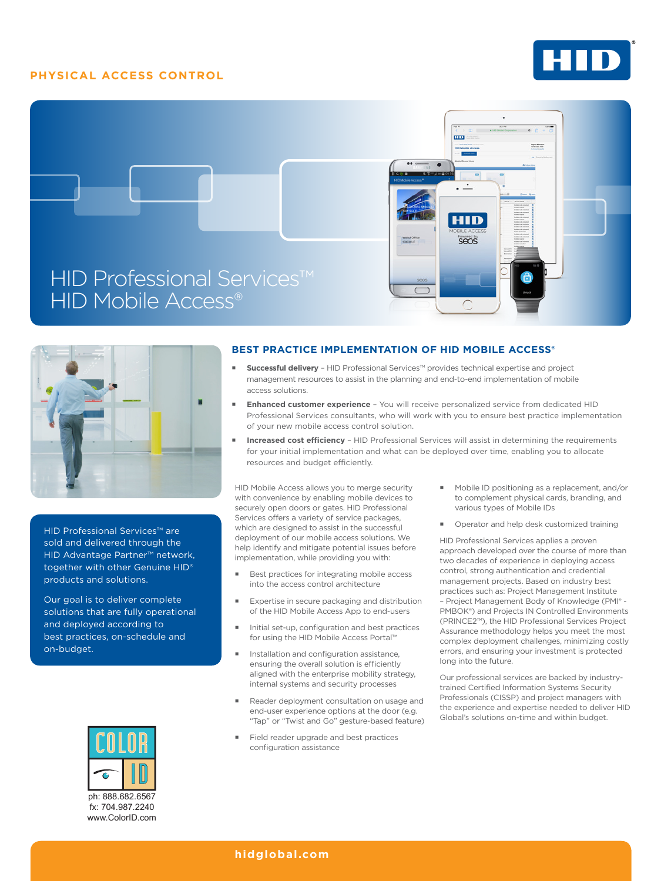## **PHYSICAL ACCESS CONTROL**







HID Professional Services™ are sold and delivered through the HID Advantage Partner™ network, together with other Genuine HID® products and solutions.

Our goal is to deliver complete solutions that are fully operational and deployed according to best practices, on-schedule and on-budget.



www.ColorID.com

#### **BEST PRACTICE IMPLEMENTATION OF HID MOBILE ACCESS®**

- **Successful delivery**  HID Professional Services™ provides technical expertise and project management resources to assist in the planning and end-to-end implementation of mobile access solutions.
- **Enhanced customer experience** You will receive personalized service from dedicated HID Professional Services consultants, who will work with you to ensure best practice implementation of your new mobile access control solution.
- **Increased cost efficiency**  HID Professional Services will assist in determining the requirements for your initial implementation and what can be deployed over time, enabling you to allocate resources and budget efficiently.

HID Mobile Access allows you to merge security with convenience by enabling mobile devices to securely open doors or gates. HID Professional Services offers a variety of service packages, which are designed to assist in the successful deployment of our mobile access solutions. We help identify and mitigate potential issues before implementation, while providing you with:

- Best practices for integrating mobile access into the access control architecture
- **Expertise in secure packaging and distribution** of the HID Mobile Access App to end-users
- Initial set-up, configuration and best practices for using the HID Mobile Access Portal™
- Installation and configuration assistance, ensuring the overall solution is efficiently aligned with the enterprise mobility strategy, internal systems and security processes
- Reader deployment consultation on usage and end-user experience options at the door (e.g. "Tap" or "Twist and Go" gesture-based feature)
- Field reader upgrade and best practices configuration assistance
- Mobile ID positioning as a replacement, and/or to complement physical cards, branding, and various types of Mobile IDs
- **•** Operator and help desk customized training

HID Professional Services applies a proven approach developed over the course of more than two decades of experience in deploying access control, strong authentication and credential management projects. Based on industry best practices such as: Project Management Institute – Project Management Body of Knowledge (PMI® - PMBOK®) and Projects IN Controlled Environments (PRINCE2™), the HID Professional Services Project Assurance methodology helps you meet the most complex deployment challenges, minimizing costly errors, and ensuring your investment is protected long into the future.

Our professional services are backed by industrytrained Certified Information Systems Security Professionals (CISSP) and project managers with the experience and expertise needed to deliver HID Global's solutions on-time and within budget.